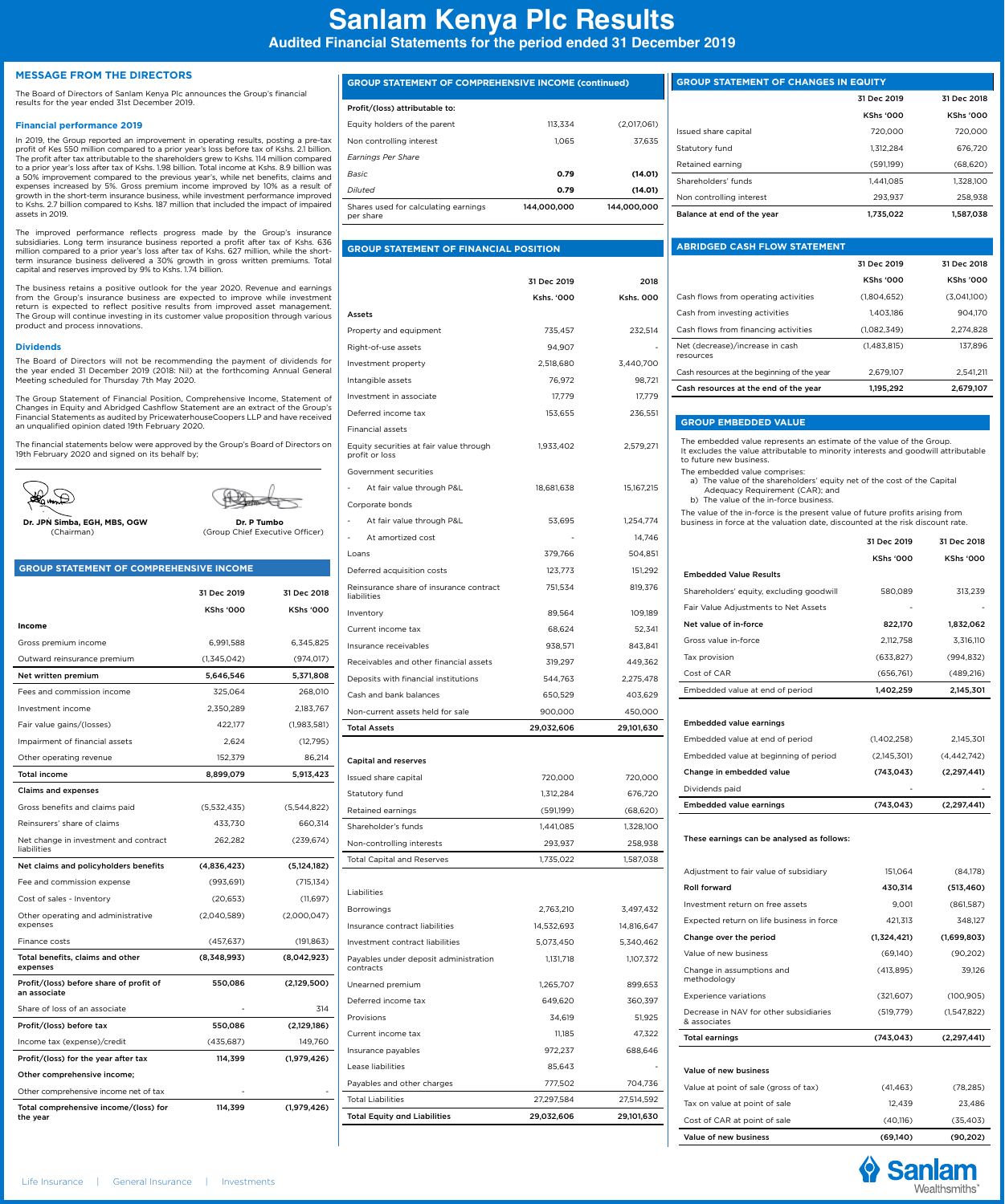# **Sanlam Kenya Plc Results**

**Audited Financial Statements for the period ended 31 December 2019**

#### **MESSAGE FROM THE DIRECTORS**

The Board of Directors of Sanlam Kenya Plc announces the Group's financial results for the year ended 31st December 2019.

### **Financial performance 2019**

In 2019, the Group reported an improvement in operating results, posting a pre-tax profit of Kes 550 million compared to a prior year's loss before tax of Kshs. 2.1 billion. The profit after tax attributable to the shareholders grew to Kshs. 114 million compared to a prior year's loss after tax of Kshs. 1.98 billion. Total income at Kshs. 8.9 billion was a 50% improvement compared to the previous year's, while net benefits, claims and expenses increased by 5%. Gross premium income improved by 10% as a result of growth in the short-term insurance business, while investment performance improved to Kshs. 2.7 billion compared to Kshs. 187 million that included the impact of impaired assets in 2019.

The improved performance reflects progress made by the Group's insurance subsidiaries. Long term insurance business reported a profit after tax of Kshs. 636 million compared to a prior year's loss after tax of Kshs. 627 million, while the short-<br>term insurance business delivered a 30% growth in gross written premiums. Total<br>capital and reserves improved by 9% to Kshs. 1.74 bil

The business retains a positive outlook for the year 2020. Revenue and earnings from the Group's insurance business are expected to improve while investment return is expected to reflect positive results from improved asset management. The Group will continue investing in its customer value proposition through various product and process innovations.

#### **Dividends**

The Board of Directors will not be recommending the payment of dividends for the year ended 31 December 2019 (2018: Nil) at the forthcoming Annual General Meeting scheduled for Thursday 7th May 2020.

The Group Statement of Financial Position, Comprehensive Income, Statement of Changes in Equity and Abridged Cashflow Statement are an extract of the Group's Financial Statements as audited by PricewaterhouseCoopers LLP and have received an unqualified opinion dated 19th February 2020.

The financial statements below were approved by the Group's Board of Directors on 19th February 2020 and signed on its behalf by;

 $\mathbb{G}$ 

**Dr. JPN Simba, EGH, MBS, OGW Dr. P Tumbo**<br>(Chairman) (Group Chief Executiv

(Group Chief Executive Officer)

#### **GROUP STATEMENT OF COMPREHENSIVE INCOME**

|                                                         | 31 Dec 2019      | 31 Dec 2018      |
|---------------------------------------------------------|------------------|------------------|
|                                                         | <b>KShs '000</b> | <b>KShs '000</b> |
| Income                                                  |                  |                  |
| Gross premium income                                    | 6,991,588        | 6,345,825        |
| Outward reinsurance premium                             | (1,345,042)      | (974, 017)       |
| Net written premium                                     | 5,646,546        | 5,371,808        |
| Fees and commission income                              | 325,064          | 268,010          |
| Investment income                                       | 2,350,289        | 2,183,767        |
| Fair value gains/(losses)                               | 422,177          | (1,983,581)      |
| Impairment of financial assets                          | 2,624            | (12, 795)        |
| Other operating revenue                                 | 152.379          | 86,214           |
| <b>Total income</b>                                     | 8,899,079        | 5,913,423        |
| <b>Claims and expenses</b>                              |                  |                  |
| Gross benefits and claims paid                          | (5,532,435)      | (5,544,822)      |
| Reinsurers' share of claims                             | 433,730          | 660,314          |
| Net change in investment and contract<br>liabilities    | 262,282          | (239, 674)       |
| Net claims and policyholders benefits                   | (4,836,423)      | (5, 124, 182)    |
| Fee and commission expense                              | (993, 691)       | (715, 134)       |
| Cost of sales - Inventory                               | (20,653)         | (11,697)         |
| Other operating and administrative<br>expenses          | (2,040,589)      | (2,000,047)      |
| Finance costs                                           | (457, 637)       | (191, 863)       |
| Total benefits, claims and other<br>expenses            | (8,348,993)      | (8,042,923)      |
| Profit/(loss) before share of profit of<br>an associate | 550,086          | (2,129,500)      |
| Share of loss of an associate                           |                  | 314              |
| Profit/(loss) before tax                                | 550,086          | (2,129,186)      |
| Income tax (expense)/credit                             | (435, 687)       | 149,760          |
| Profit/(loss) for the year after tax                    | 114,399          | (1,979,426)      |
| Other comprehensive income;                             |                  |                  |
| Other comprehensive income net of tax                   |                  |                  |
| Total comprehensive income/(loss) for<br>the year       | 114,399          | (1,979,426)      |

| <b>GROUP STATEMENT OF COMPREHENSIVE INCOME (continued)</b> |             |             |
|------------------------------------------------------------|-------------|-------------|
| Profit/(loss) attributable to:                             |             |             |
| Equity holders of the parent                               | 113.334     | (2,017,061) |
| Non controlling interest                                   | 1.065       | 37.635      |
| Earnings Per Share                                         |             |             |
| <b>Basic</b>                                               | 0.79        | (14.01)     |
| Diluted                                                    | 0.79        | (14.01)     |
| Shares used for calculating earnings<br>per share          | 144.000.000 | 144.000.000 |
|                                                            |             |             |

## **GROUP STATEMENT OF FINANCIAL POSITION**

| Kshs. '000<br><b>Kshs. 000</b><br>735,457<br>232,514<br>94,907<br>2,518,680<br>3,440,700<br>76,972<br>98,721<br>17,779<br>17,779<br>153,655<br>236,551<br>1,933,402<br>2,579,271<br>At fair value through P&L<br>18,681,638<br>15,167,215<br>At fair value through P&L<br>53,695<br>1,254,774<br>At amortized cost<br>14,746<br>L.<br>379,766<br>504,851<br>123,773<br>151,292<br>751,534<br>819,376<br>89,564<br>109,189<br>68,624<br>52,341<br>938,571<br>843,841<br>319,297<br>449,362<br>544,763<br>2,275,478<br>650,529<br>403,629<br>900,000<br>450,000<br>29,032,606<br>29,101,630<br><b>Capital and reserves</b><br>Issued share capital<br>720,000<br>720,000<br>676,720<br>Statutory fund<br>1,312,284<br>Retained earnings<br>(591,199)<br>(68, 620)<br>Shareholder's funds<br>1,441,085<br>1,328,100<br>293,937<br>Non-controlling interests<br>258,938<br><b>Total Capital and Reserves</b><br>1,735,022<br>1,587,038<br>2,763,210<br>3,497,432<br>14,532,693<br>14,816,647<br>5,073,450<br>5,340,462<br>Payables under deposit administration<br>1,131,718<br>1,107,372<br>1,265,707<br>899,653<br>649,620<br>360,397<br>34,619<br>51,925<br>11,185<br>47,322<br>972,237<br>688,646<br>85,643<br>777,502<br>704,736<br>27,297,584<br>27,514,592<br>29,032,606<br>29,101,630 |                                                           | 31 Dec 2019 | 2018 |
|-------------------------------------------------------------------------------------------------------------------------------------------------------------------------------------------------------------------------------------------------------------------------------------------------------------------------------------------------------------------------------------------------------------------------------------------------------------------------------------------------------------------------------------------------------------------------------------------------------------------------------------------------------------------------------------------------------------------------------------------------------------------------------------------------------------------------------------------------------------------------------------------------------------------------------------------------------------------------------------------------------------------------------------------------------------------------------------------------------------------------------------------------------------------------------------------------------------------------------------------------------------------------------------------|-----------------------------------------------------------|-------------|------|
|                                                                                                                                                                                                                                                                                                                                                                                                                                                                                                                                                                                                                                                                                                                                                                                                                                                                                                                                                                                                                                                                                                                                                                                                                                                                                           |                                                           |             |      |
|                                                                                                                                                                                                                                                                                                                                                                                                                                                                                                                                                                                                                                                                                                                                                                                                                                                                                                                                                                                                                                                                                                                                                                                                                                                                                           | Assets                                                    |             |      |
|                                                                                                                                                                                                                                                                                                                                                                                                                                                                                                                                                                                                                                                                                                                                                                                                                                                                                                                                                                                                                                                                                                                                                                                                                                                                                           | Property and equipment                                    |             |      |
|                                                                                                                                                                                                                                                                                                                                                                                                                                                                                                                                                                                                                                                                                                                                                                                                                                                                                                                                                                                                                                                                                                                                                                                                                                                                                           | Right-of-use assets                                       |             |      |
|                                                                                                                                                                                                                                                                                                                                                                                                                                                                                                                                                                                                                                                                                                                                                                                                                                                                                                                                                                                                                                                                                                                                                                                                                                                                                           | Investment property                                       |             |      |
|                                                                                                                                                                                                                                                                                                                                                                                                                                                                                                                                                                                                                                                                                                                                                                                                                                                                                                                                                                                                                                                                                                                                                                                                                                                                                           | Intangible assets                                         |             |      |
|                                                                                                                                                                                                                                                                                                                                                                                                                                                                                                                                                                                                                                                                                                                                                                                                                                                                                                                                                                                                                                                                                                                                                                                                                                                                                           | Investment in associate                                   |             |      |
|                                                                                                                                                                                                                                                                                                                                                                                                                                                                                                                                                                                                                                                                                                                                                                                                                                                                                                                                                                                                                                                                                                                                                                                                                                                                                           | Deferred income tax                                       |             |      |
|                                                                                                                                                                                                                                                                                                                                                                                                                                                                                                                                                                                                                                                                                                                                                                                                                                                                                                                                                                                                                                                                                                                                                                                                                                                                                           | <b>Financial assets</b>                                   |             |      |
|                                                                                                                                                                                                                                                                                                                                                                                                                                                                                                                                                                                                                                                                                                                                                                                                                                                                                                                                                                                                                                                                                                                                                                                                                                                                                           | Equity securities at fair value through<br>profit or loss |             |      |
|                                                                                                                                                                                                                                                                                                                                                                                                                                                                                                                                                                                                                                                                                                                                                                                                                                                                                                                                                                                                                                                                                                                                                                                                                                                                                           | Government securities                                     |             |      |
|                                                                                                                                                                                                                                                                                                                                                                                                                                                                                                                                                                                                                                                                                                                                                                                                                                                                                                                                                                                                                                                                                                                                                                                                                                                                                           |                                                           |             |      |
|                                                                                                                                                                                                                                                                                                                                                                                                                                                                                                                                                                                                                                                                                                                                                                                                                                                                                                                                                                                                                                                                                                                                                                                                                                                                                           | Corporate bonds                                           |             |      |
|                                                                                                                                                                                                                                                                                                                                                                                                                                                                                                                                                                                                                                                                                                                                                                                                                                                                                                                                                                                                                                                                                                                                                                                                                                                                                           | $\overline{\phantom{0}}$                                  |             |      |
|                                                                                                                                                                                                                                                                                                                                                                                                                                                                                                                                                                                                                                                                                                                                                                                                                                                                                                                                                                                                                                                                                                                                                                                                                                                                                           |                                                           |             |      |
|                                                                                                                                                                                                                                                                                                                                                                                                                                                                                                                                                                                                                                                                                                                                                                                                                                                                                                                                                                                                                                                                                                                                                                                                                                                                                           | Loans                                                     |             |      |
|                                                                                                                                                                                                                                                                                                                                                                                                                                                                                                                                                                                                                                                                                                                                                                                                                                                                                                                                                                                                                                                                                                                                                                                                                                                                                           | Deferred acquisition costs                                |             |      |
|                                                                                                                                                                                                                                                                                                                                                                                                                                                                                                                                                                                                                                                                                                                                                                                                                                                                                                                                                                                                                                                                                                                                                                                                                                                                                           | Reinsurance share of insurance contract<br>liabilities    |             |      |
|                                                                                                                                                                                                                                                                                                                                                                                                                                                                                                                                                                                                                                                                                                                                                                                                                                                                                                                                                                                                                                                                                                                                                                                                                                                                                           | Inventory                                                 |             |      |
|                                                                                                                                                                                                                                                                                                                                                                                                                                                                                                                                                                                                                                                                                                                                                                                                                                                                                                                                                                                                                                                                                                                                                                                                                                                                                           | Current income tax                                        |             |      |
|                                                                                                                                                                                                                                                                                                                                                                                                                                                                                                                                                                                                                                                                                                                                                                                                                                                                                                                                                                                                                                                                                                                                                                                                                                                                                           | Insurance receivables                                     |             |      |
|                                                                                                                                                                                                                                                                                                                                                                                                                                                                                                                                                                                                                                                                                                                                                                                                                                                                                                                                                                                                                                                                                                                                                                                                                                                                                           | Receivables and other financial assets                    |             |      |
|                                                                                                                                                                                                                                                                                                                                                                                                                                                                                                                                                                                                                                                                                                                                                                                                                                                                                                                                                                                                                                                                                                                                                                                                                                                                                           | Deposits with financial institutions                      |             |      |
|                                                                                                                                                                                                                                                                                                                                                                                                                                                                                                                                                                                                                                                                                                                                                                                                                                                                                                                                                                                                                                                                                                                                                                                                                                                                                           | Cash and bank balances                                    |             |      |
|                                                                                                                                                                                                                                                                                                                                                                                                                                                                                                                                                                                                                                                                                                                                                                                                                                                                                                                                                                                                                                                                                                                                                                                                                                                                                           | Non-current assets held for sale                          |             |      |
|                                                                                                                                                                                                                                                                                                                                                                                                                                                                                                                                                                                                                                                                                                                                                                                                                                                                                                                                                                                                                                                                                                                                                                                                                                                                                           | <b>Total Assets</b>                                       |             |      |
|                                                                                                                                                                                                                                                                                                                                                                                                                                                                                                                                                                                                                                                                                                                                                                                                                                                                                                                                                                                                                                                                                                                                                                                                                                                                                           |                                                           |             |      |
|                                                                                                                                                                                                                                                                                                                                                                                                                                                                                                                                                                                                                                                                                                                                                                                                                                                                                                                                                                                                                                                                                                                                                                                                                                                                                           |                                                           |             |      |
|                                                                                                                                                                                                                                                                                                                                                                                                                                                                                                                                                                                                                                                                                                                                                                                                                                                                                                                                                                                                                                                                                                                                                                                                                                                                                           |                                                           |             |      |
|                                                                                                                                                                                                                                                                                                                                                                                                                                                                                                                                                                                                                                                                                                                                                                                                                                                                                                                                                                                                                                                                                                                                                                                                                                                                                           |                                                           |             |      |
|                                                                                                                                                                                                                                                                                                                                                                                                                                                                                                                                                                                                                                                                                                                                                                                                                                                                                                                                                                                                                                                                                                                                                                                                                                                                                           |                                                           |             |      |
|                                                                                                                                                                                                                                                                                                                                                                                                                                                                                                                                                                                                                                                                                                                                                                                                                                                                                                                                                                                                                                                                                                                                                                                                                                                                                           |                                                           |             |      |
|                                                                                                                                                                                                                                                                                                                                                                                                                                                                                                                                                                                                                                                                                                                                                                                                                                                                                                                                                                                                                                                                                                                                                                                                                                                                                           |                                                           |             |      |
|                                                                                                                                                                                                                                                                                                                                                                                                                                                                                                                                                                                                                                                                                                                                                                                                                                                                                                                                                                                                                                                                                                                                                                                                                                                                                           |                                                           |             |      |
|                                                                                                                                                                                                                                                                                                                                                                                                                                                                                                                                                                                                                                                                                                                                                                                                                                                                                                                                                                                                                                                                                                                                                                                                                                                                                           | Liabilities                                               |             |      |
|                                                                                                                                                                                                                                                                                                                                                                                                                                                                                                                                                                                                                                                                                                                                                                                                                                                                                                                                                                                                                                                                                                                                                                                                                                                                                           | Borrowings                                                |             |      |
|                                                                                                                                                                                                                                                                                                                                                                                                                                                                                                                                                                                                                                                                                                                                                                                                                                                                                                                                                                                                                                                                                                                                                                                                                                                                                           | Insurance contract liabilities                            |             |      |
|                                                                                                                                                                                                                                                                                                                                                                                                                                                                                                                                                                                                                                                                                                                                                                                                                                                                                                                                                                                                                                                                                                                                                                                                                                                                                           | Investment contract liabilities                           |             |      |
|                                                                                                                                                                                                                                                                                                                                                                                                                                                                                                                                                                                                                                                                                                                                                                                                                                                                                                                                                                                                                                                                                                                                                                                                                                                                                           | contracts                                                 |             |      |
|                                                                                                                                                                                                                                                                                                                                                                                                                                                                                                                                                                                                                                                                                                                                                                                                                                                                                                                                                                                                                                                                                                                                                                                                                                                                                           | Unearned premium                                          |             |      |
|                                                                                                                                                                                                                                                                                                                                                                                                                                                                                                                                                                                                                                                                                                                                                                                                                                                                                                                                                                                                                                                                                                                                                                                                                                                                                           | Deferred income tax                                       |             |      |
|                                                                                                                                                                                                                                                                                                                                                                                                                                                                                                                                                                                                                                                                                                                                                                                                                                                                                                                                                                                                                                                                                                                                                                                                                                                                                           | Provisions                                                |             |      |
|                                                                                                                                                                                                                                                                                                                                                                                                                                                                                                                                                                                                                                                                                                                                                                                                                                                                                                                                                                                                                                                                                                                                                                                                                                                                                           | Current income tax                                        |             |      |
|                                                                                                                                                                                                                                                                                                                                                                                                                                                                                                                                                                                                                                                                                                                                                                                                                                                                                                                                                                                                                                                                                                                                                                                                                                                                                           | Insurance payables                                        |             |      |
|                                                                                                                                                                                                                                                                                                                                                                                                                                                                                                                                                                                                                                                                                                                                                                                                                                                                                                                                                                                                                                                                                                                                                                                                                                                                                           | Lease liabilities                                         |             |      |
|                                                                                                                                                                                                                                                                                                                                                                                                                                                                                                                                                                                                                                                                                                                                                                                                                                                                                                                                                                                                                                                                                                                                                                                                                                                                                           | Payables and other charges                                |             |      |
|                                                                                                                                                                                                                                                                                                                                                                                                                                                                                                                                                                                                                                                                                                                                                                                                                                                                                                                                                                                                                                                                                                                                                                                                                                                                                           | <b>Total Liabilities</b>                                  |             |      |
|                                                                                                                                                                                                                                                                                                                                                                                                                                                                                                                                                                                                                                                                                                                                                                                                                                                                                                                                                                                                                                                                                                                                                                                                                                                                                           | <b>Total Equity and Liabilities</b>                       |             |      |

| <b>GROUP STATEMENT OF CHANGES IN EQUITY</b> |                  |                  |
|---------------------------------------------|------------------|------------------|
|                                             | 31 Dec 2019      | 31 Dec 2018      |
|                                             | <b>KShs '000</b> | <b>KShs '000</b> |
| Issued share capital                        | 720,000          | 720.000          |
| Statutory fund                              | 1.312.284        | 676.720          |
| Retained earning                            | (591.199)        | (68, 620)        |
| Shareholders' funds                         | 1.441.085        | 1.328.100        |
| Non controlling interest                    | 293.937          | 258.938          |
| Balance at end of the year                  | 1.735.022        | 1.587.038        |

### **ABRIDGED CASH FLOW STATEMENT**

|                                              | 31 Dec 2019      | 31 Dec 2018      |
|----------------------------------------------|------------------|------------------|
|                                              | <b>KShs '000</b> | <b>KShs '000</b> |
| Cash flows from operating activities         | (1.804.652)      | (3.041.100)      |
| Cash from investing activities               | 1.403.186        | 904.170          |
| Cash flows from financing activities         | (1.082.349)      | 2.274.828        |
| Net (decrease)/increase in cash<br>resources | (1.483.815)      | 137.896          |
| Cash resources at the beginning of the year  | 2.679.107        | 2.541.211        |
| Cash resources at the end of the year        | 1.195.292        | 2.679.107        |

#### **GROUP EMBEDDED VALUE**

The embedded value represents an estimate of the value of the Group. It excludes the value attributable to minority interests and goodwill attributable to future new business.

The embedded value comprises:

 a) The value of the shareholders' equity net of the cost of the Capital Adequacy Requirement (CAR); and b) The value of the in-force business.

The value of the in-force is the present value of future profits arising from business in force at the valuation date, discounted at the risk discount rate.

|                                          | 31 Dec 2019      | 31 Dec 2018      |
|------------------------------------------|------------------|------------------|
|                                          | <b>KShs '000</b> | <b>KShs '000</b> |
| <b>Embedded Value Results</b>            |                  |                  |
| Shareholders' equity, excluding goodwill | 580.089          | 313.239          |
| Fair Value Adjustments to Net Assets     |                  |                  |
| Net value of in-force                    | 822,170          | 1,832,062        |
| Gross value in-force                     | 2.112.758        | 3.316.110        |
| Tax provision                            | (633.827)        | (994.832)        |
| Cost of CAR                              | (656.761)        | (489.216)        |
| Embedded value at end of period          | 1,402,259        | 2,145,301        |
|                                          |                  |                  |

#### Embedded value earnings

| <b>Embedded value earnings</b>        | (743, 043)  | (2.297.441) |
|---------------------------------------|-------------|-------------|
| Dividends paid                        | ۰           |             |
| Change in embedded value              | (743.043)   | (2.297.441) |
| Embedded value at beginning of period | (2.145.301) | (4.442.742) |
| Embedded value at end of period       | (1.402.258) | 2.145.301   |
|                                       |             |             |

These earnings can be analysed as follows:

| Value of new business                                  | (69.140)    | (90, 202)     |
|--------------------------------------------------------|-------------|---------------|
| Cost of CAR at point of sale                           | (40,116)    | (35, 403)     |
| Tax on value at point of sale                          | 12,439      | 23,486        |
| Value at point of sale (gross of tax)                  | (41, 463)   | (78, 285)     |
| Value of new business                                  |             |               |
| <b>Total earnings</b>                                  | (743, 043)  | (2, 297, 441) |
| Decrease in NAV for other subsidiaries<br>& associates | (519.779)   | (1.547.822)   |
| <b>Experience variations</b>                           | (321, 607)  | (100, 905)    |
| Change in assumptions and<br>methodology               | (413, 895)  | 39,126        |
| Value of new business                                  | (69,140)    | (90, 202)     |
| Change over the period                                 | (1,324,421) | (1,699,803)   |
| Expected return on life business in force              | 421,313     | 348.127       |
| Investment return on free assets                       | 9,001       | (861,587)     |
| Roll forward                                           | 430,314     | (513, 460)    |
| Adjustment to fair value of subsidiary                 | 151,064     | (84,178)      |
|                                                        |             |               |